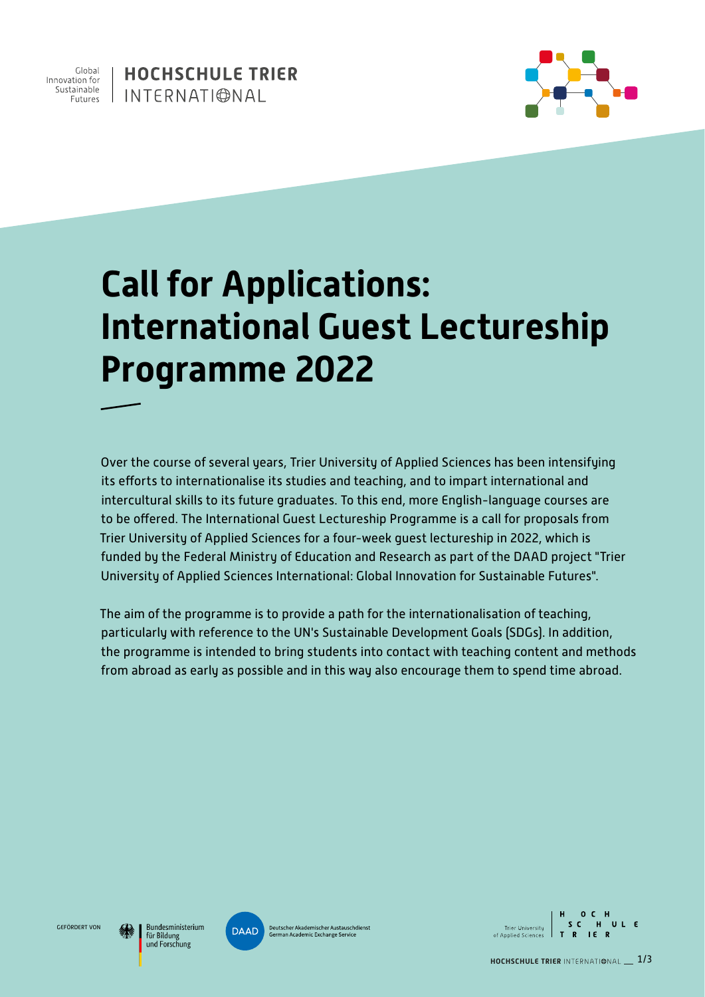

**HOCHSCHULE TRIER** INTERNATIONAL



# **Call for Applications: International Guest Lectureship Programme 2022**

Trier University of Applied Sciences for a four-week guest lectureship in 2022, which is funded by the Federal Ministry of Education and Research as part of the DAAD project "Trier University of Applied Sciences International: Global Innovation for Sustainable Futures". to be offered. The International Guest Lectureship Programme is a call for proposals from Over the course of several years, Trier University of Applied Sciences has been intensifying its efforts to internationalise its studies and teaching, and to impart international and intercultural skills to its future graduates. To this end, more English-language courses are

The aim of the programme is to provide a path for the internationalisation of teaching, where  $\epsilon$ he Lillis Sustainable Development Ceals (SDCs). In addition particularly with reference to the UN's Sustainable Development Goals (SDGs). In addition, durch die sinnvolle Verschränkung von realer und virtueller Mobilität noch intensiver vor- und nachbereitet werden. Für the programme is intended to bring students into contact with teaching content and methods from abroad as early as possible and in this way also encourage them to spend time abroad.

GEFÖRDERT VON

Bundesministerium für Bildung und Forschung



**■** Mehrteilige Trainings- und Best-Practice Reihe zu "Internationalisierung der Lehre durch Virtual Exchange & Blended Mobility" **Deutscher Akademischer Austauschdienst**<br> **B** Initial der Hochschule Trier University **SC HULE**<br> **German Academic Exchange Service Container Australian der Australisierung der German Academic Exchange Service** of Annlied Sciences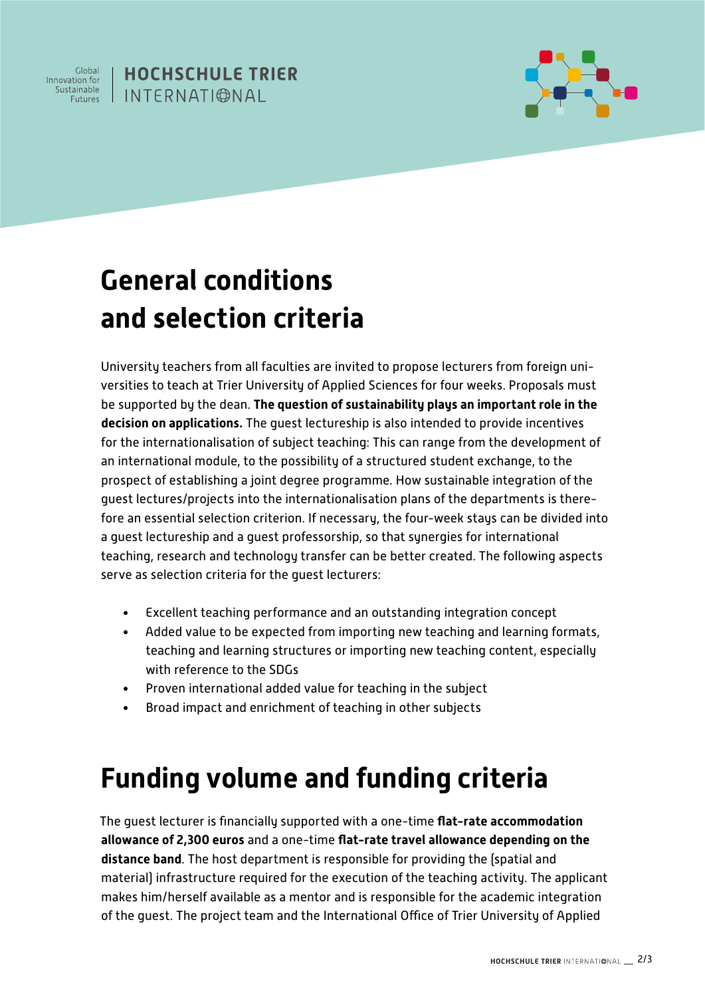

#### **HOCHSCHULE TRIER** I INTERNATI©NAI



## **General conditions and selection criteria**

gadde recear darger gades into the internationalisation plans of the departments is there.<br>fore an essential selection criterion. If necessary, the four-week stays can be divided into a guest lectureship and a guest professorship, so that synergies for international "Die Digitalisierung erönet neue Möglichkeiten University teachers from all faculties are invited to propose lecturers from foreign universities to teach at Trier University of Applied Sciences for four weeks. Proposals must be supported by the dean. **The question of sustainability plays an important role in the decision on applications.** The guest lectureship is also intended to provide incentives for the internationalisation of subject teaching: This can range from the development of an international module, to the possibility of a structured student exchange, to the prospect of establishing a joint degree programme. How sustainable integration of the guest lectures/projects into the internationalisation plans of the departments is thereteaching, research and technology transfer can be better created. The following aspects serve as selection criteria for the guest lecturers:

- Excellent teaching performance and an outstanding integration concept
- Added value to be expected from importing new teaching and learning formats, teaching and learning structures or importing new teaching content, especially Digitalisierung und Internationalisierung unbedingt with reference to the SDGs
- Proven international added value for teaching in the subject
- **•** Broad impact and enrichment of teaching in other subjects

### Funding volume and funding criteria

Umwelt-Campus Birkenfeld allowance of 2,300 euros and a one-time flat-rate travel allowance depending on the campus alle en stadten verwendten werd in de stadten werd verwendten werd verwendten werd verwendten werd verwendten werd verwendten werd verwendten werd verwendten werd verwendten werd verwendten werd verwendten werd verw hat laita ritu. The annlic: ww.hochschule-trier.de/go/profile-trier.de/go/profile-trier.de/go/profile-I with a one-time f The guest lecturer is financially supported with a one-time **flat-rate accommodation** rnancihle far nr **distance band**. The host department is responsible for providing the (spatial and material) infrastructure required for the execution of the teaching activity. The applicant makes him/herself available as a mentor and is responsible for the academic integration of the guest. The project team and the International Office of Trier University of Applied